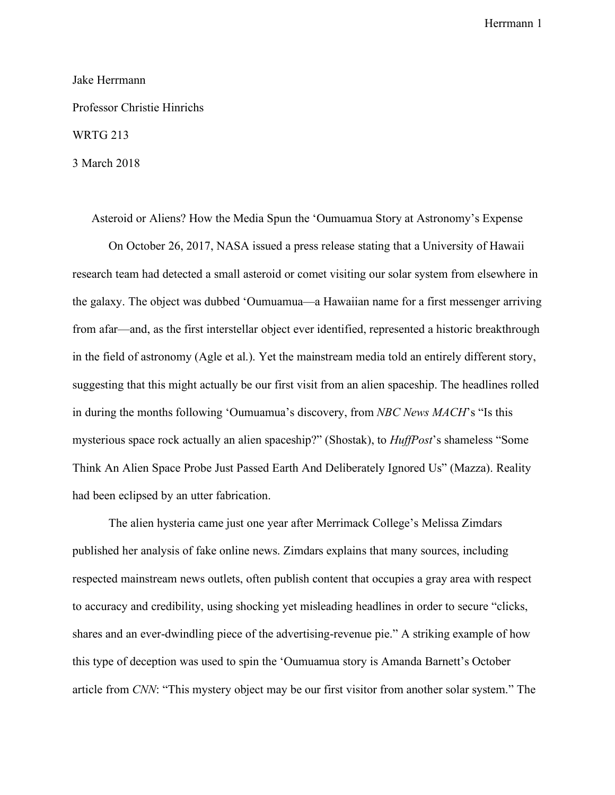## Jake Herrmann

## Professor Christie Hinrichs

## WRTG 213

3 March 2018

Asteroid or Aliens? How the Media Spun the ʻOumuamua Story at Astronomy's Expense On October 26, 2017, NASA issued a press release stating that a University of Hawaii research team had detected a small asteroid or comet visiting our solar system from elsewhere in the galaxy. The object was dubbed ʻOumuamua—a Hawaiian name for a first messenger arriving from afar—and, as the first interstellar object ever identified, represented a historic breakthrough in the field of astronomy (Agle et al.). Yet the mainstream media told an entirely different story, suggesting that this might actually be our first visit from an alien spaceship. The headlines rolled in during the months following ʻOumuamua's discovery, from *NBC News MACH*'s "Is this mysterious space rock actually an alien spaceship?" (Shostak), to *HuffPost*'s shameless "Some Think An Alien Space Probe Just Passed Earth And Deliberately Ignored Us" (Mazza). Reality had been eclipsed by an utter fabrication.

The alien hysteria came just one year after Merrimack College's Melissa Zimdars published her analysis of fake online news. Zimdars explains that many sources, including respected mainstream news outlets, often publish content that occupies a gray area with respect to accuracy and credibility, using shocking yet misleading headlines in order to secure "clicks, shares and an ever-dwindling piece of the advertising-revenue pie." A striking example of how this type of deception was used to spin the ʻOumuamua story is Amanda Barnett's October article from *CNN*: "This mystery object may be our first visitor from another solar system." The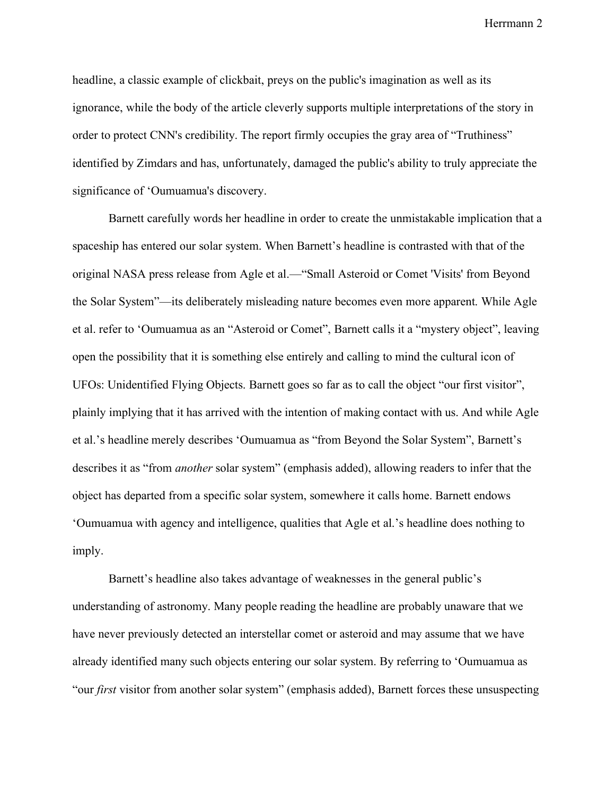headline, a classic example of clickbait, preys on the public's imagination as well as its ignorance, while the body of the article cleverly supports multiple interpretations of the story in order to protect CNN's credibility. The report firmly occupies the gray area of "Truthiness" identified by Zimdars and has, unfortunately, damaged the public's ability to truly appreciate the significance of ʻOumuamua's discovery.

Barnett carefully words her headline in order to create the unmistakable implication that a spaceship has entered our solar system. When Barnett's headline is contrasted with that of the original NASA press release from Agle et al.—"Small Asteroid or Comet 'Visits' from Beyond the Solar System"—its deliberately misleading nature becomes even more apparent. While Agle et al. refer to ʻOumuamua as an "Asteroid or Comet", Barnett calls it a "mystery object", leaving open the possibility that it is something else entirely and calling to mind the cultural icon of UFOs: Unidentified Flying Objects. Barnett goes so far as to call the object "our first visitor", plainly implying that it has arrived with the intention of making contact with us. And while Agle et al.'s headline merely describes ʻOumuamua as "from Beyond the Solar System", Barnett's describes it as "from *another* solar system" (emphasis added), allowing readers to infer that the object has departed from a specific solar system, somewhere it calls home. Barnett endows ʻOumuamua with agency and intelligence, qualities that Agle et al.'s headline does nothing to imply.

Barnett's headline also takes advantage of weaknesses in the general public's understanding of astronomy. Many people reading the headline are probably unaware that we have never previously detected an interstellar comet or asteroid and may assume that we have already identified many such objects entering our solar system. By referring to ʻOumuamua as "our *first* visitor from another solar system" (emphasis added), Barnett forces these unsuspecting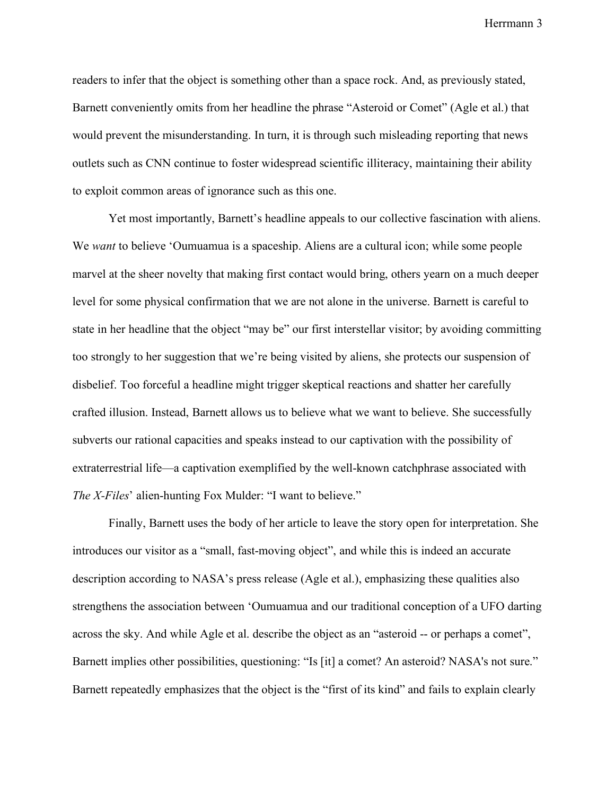readers to infer that the object is something other than a space rock. And, as previously stated, Barnett conveniently omits from her headline the phrase "Asteroid or Comet" (Agle et al.) that would prevent the misunderstanding. In turn, it is through such misleading reporting that news outlets such as CNN continue to foster widespread scientific illiteracy, maintaining their ability to exploit common areas of ignorance such as this one.

Yet most importantly, Barnett's headline appeals to our collective fascination with aliens. We *want* to believe ʻOumuamua is a spaceship. Aliens are a cultural icon; while some people marvel at the sheer novelty that making first contact would bring, others yearn on a much deeper level for some physical confirmation that we are not alone in the universe. Barnett is careful to state in her headline that the object "may be" our first interstellar visitor; by avoiding committing too strongly to her suggestion that we're being visited by aliens, she protects our suspension of disbelief. Too forceful a headline might trigger skeptical reactions and shatter her carefully crafted illusion. Instead, Barnett allows us to believe what we want to believe. She successfully subverts our rational capacities and speaks instead to our captivation with the possibility of extraterrestrial life—a captivation exemplified by the well-known catchphrase associated with *The X-Files*' alien-hunting Fox Mulder: "I want to believe."

Finally, Barnett uses the body of her article to leave the story open for interpretation. She introduces our visitor as a "small, fast-moving object", and while this is indeed an accurate description according to NASA's press release (Agle et al.), emphasizing these qualities also strengthens the association between ʻOumuamua and our traditional conception of a UFO darting across the sky. And while Agle et al. describe the object as an "asteroid -- or perhaps a comet", Barnett implies other possibilities, questioning: "Is [it] a comet? An asteroid? NASA's not sure." Barnett repeatedly emphasizes that the object is the "first of its kind" and fails to explain clearly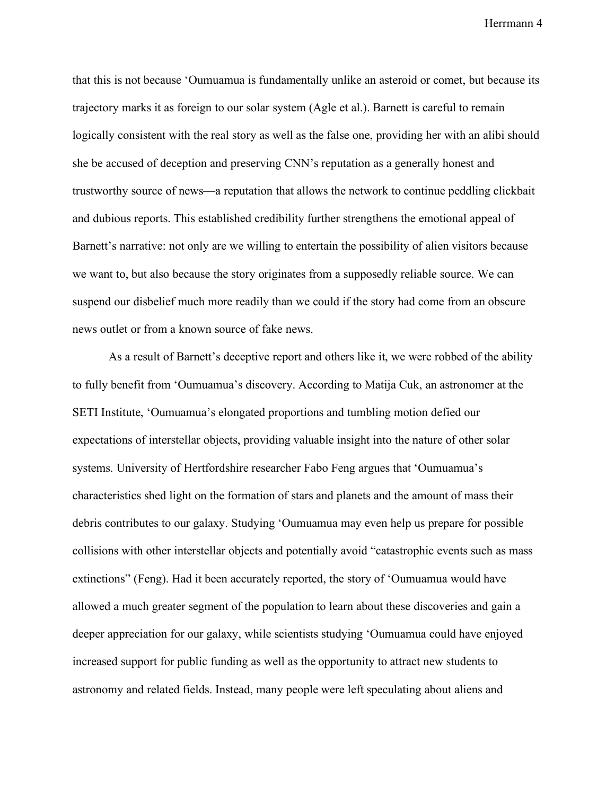that this is not because ʻOumuamua is fundamentally unlike an asteroid or comet, but because its trajectory marks it as foreign to our solar system (Agle et al.). Barnett is careful to remain logically consistent with the real story as well as the false one, providing her with an alibi should she be accused of deception and preserving CNN's reputation as a generally honest and trustworthy source of news—a reputation that allows the network to continue peddling clickbait and dubious reports. This established credibility further strengthens the emotional appeal of Barnett's narrative: not only are we willing to entertain the possibility of alien visitors because we want to, but also because the story originates from a supposedly reliable source. We can suspend our disbelief much more readily than we could if the story had come from an obscure news outlet or from a known source of fake news.

As a result of Barnett's deceptive report and others like it, we were robbed of the ability to fully benefit from ʻOumuamua's discovery. According to Matija Cuk, an astronomer at the SETI Institute, ʻOumuamua's elongated proportions and tumbling motion defied our expectations of interstellar objects, providing valuable insight into the nature of other solar systems. University of Hertfordshire researcher Fabo Feng argues that ʻOumuamua's characteristics shed light on the formation of stars and planets and the amount of mass their debris contributes to our galaxy. Studying ʻOumuamua may even help us prepare for possible collisions with other interstellar objects and potentially avoid "catastrophic events such as mass extinctions" (Feng). Had it been accurately reported, the story of ʻOumuamua would have allowed a much greater segment of the population to learn about these discoveries and gain a deeper appreciation for our galaxy, while scientists studying ʻOumuamua could have enjoyed increased support for public funding as well as the opportunity to attract new students to astronomy and related fields. Instead, many people were left speculating about aliens and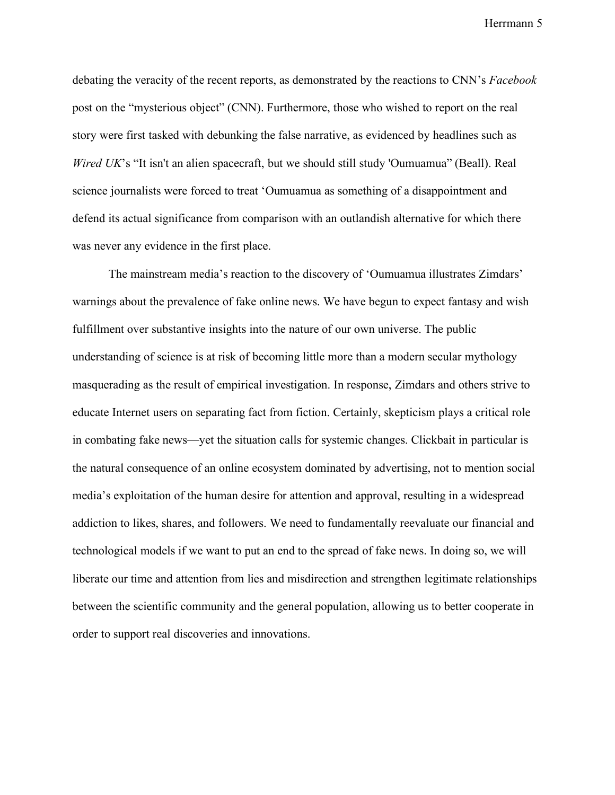debating the veracity of the recent reports, as demonstrated by the reactions to CNN's *Facebook* post on the "mysterious object" (CNN). Furthermore, those who wished to report on the real story were first tasked with debunking the false narrative, as evidenced by headlines such as *Wired UK*'s "It isn't an alien spacecraft, but we should still study 'Oumuamua'' (Beall). Real science journalists were forced to treat ʻOumuamua as something of a disappointment and defend its actual significance from comparison with an outlandish alternative for which there was never any evidence in the first place.

The mainstream media's reaction to the discovery of ʻOumuamua illustrates Zimdars' warnings about the prevalence of fake online news. We have begun to expect fantasy and wish fulfillment over substantive insights into the nature of our own universe. The public understanding of science is at risk of becoming little more than a modern secular mythology masquerading as the result of empirical investigation. In response, Zimdars and others strive to educate Internet users on separating fact from fiction. Certainly, skepticism plays a critical role in combating fake news—yet the situation calls for systemic changes. Clickbait in particular is the natural consequence of an online ecosystem dominated by advertising, not to mention social media's exploitation of the human desire for attention and approval, resulting in a widespread addiction to likes, shares, and followers. We need to fundamentally reevaluate our financial and technological models if we want to put an end to the spread of fake news. In doing so, we will liberate our time and attention from lies and misdirection and strengthen legitimate relationships between the scientific community and the general population, allowing us to better cooperate in order to support real discoveries and innovations.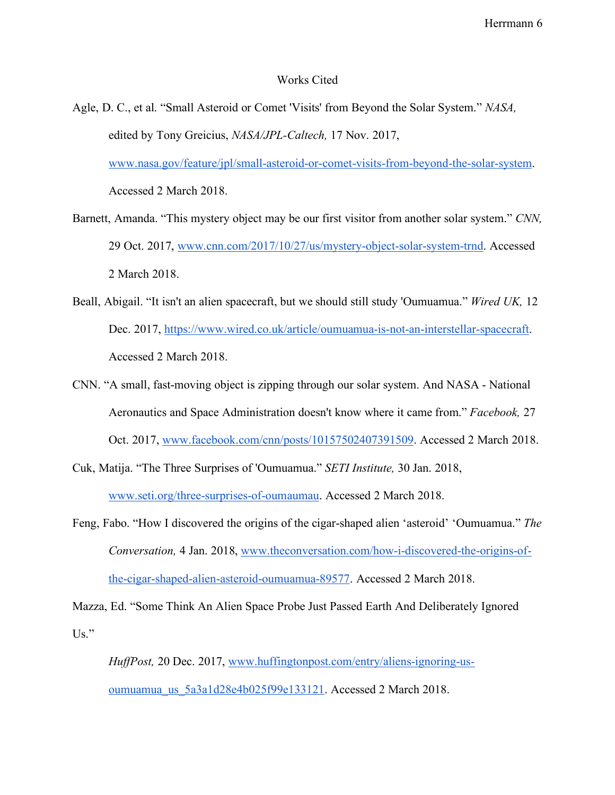## Works Cited

- Agle, D. C., et al. "Small Asteroid or Comet 'Visits' from Beyond the Solar System." *NASA,* edited by Tony Greicius, *NASA/JPL-Caltech,* 17 Nov. 2017, www.nasa.gov/feature/jpl/small-asteroid-or-comet-visits-from-beyond-the-solar-system. Accessed 2 March 2018.
- Barnett, Amanda. "This mystery object may be our first visitor from another solar system." *CNN,*  29 Oct. 2017, www.cnn.com/2017/10/27/us/mystery-object-solar-system-trnd. Accessed 2 March 2018.
- Beall, Abigail. "It isn't an alien spacecraft, but we should still study 'Oumuamua." *Wired UK,* 12 Dec. 2017, https://www.wired.co.uk/article/oumuamua-is-not-an-interstellar-spacecraft. Accessed 2 March 2018.
- CNN. "A small, fast-moving object is zipping through our solar system. And NASA National Aeronautics and Space Administration doesn't know where it came from." *Facebook,* 27 Oct. 2017, www.facebook.com/cnn/posts/10157502407391509. Accessed 2 March 2018.
- Cuk, Matija. "The Three Surprises of 'Oumuamua." *SETI Institute,* 30 Jan. 2018, www.seti.org/three-surprises-of-oumaumau. Accessed 2 March 2018.
- Feng, Fabo. "How I discovered the origins of the cigar-shaped alien 'asteroid' 'Oumuamua." *The Conversation,* 4 Jan. 2018, www.theconversation.com/how-i-discovered-the-origins-ofthe-cigar-shaped-alien-asteroid-oumuamua-89577. Accessed 2 March 2018.

Mazza, Ed. "Some Think An Alien Space Probe Just Passed Earth And Deliberately Ignored Us."

*HuffPost,* 20 Dec. 2017, www.huffingtonpost.com/entry/aliens-ignoring-usoumuamua\_us\_5a3a1d28e4b025f99e133121. Accessed 2 March 2018.